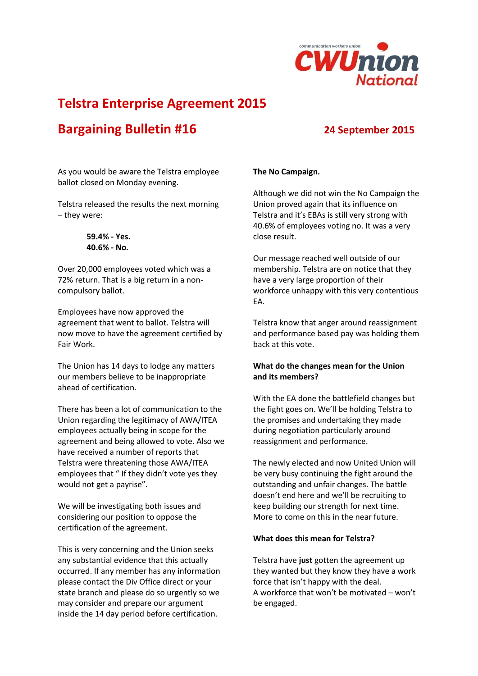

## **Telstra Enterprise Agreement 2015**

# **Bargaining Bulletin #16 24 September 2015**

As you would be aware the Telstra employee ballot closed on Monday evening.

Telstra released the results the next morning – they were:

> **59.4% - Yes. 40.6% - No.**

Over 20,000 employees voted which was a 72% return. That is a big return in a noncompulsory ballot.

Employees have now approved the agreement that went to ballot. Telstra will now move to have the agreement certified by Fair Work.

The Union has 14 days to lodge any matters our members believe to be inappropriate ahead of certification.

There has been a lot of communication to the Union regarding the legitimacy of AWA/ITEA employees actually being in scope for the agreement and being allowed to vote. Also we have received a number of reports that Telstra were threatening those AWA/ITEA employees that " If they didn't vote yes they would not get a payrise".

We will be investigating both issues and considering our position to oppose the certification of the agreement.

This is very concerning and the Union seeks any substantial evidence that this actually occurred. If any member has any information please contact the Div Office direct or your state branch and please do so urgently so we may consider and prepare our argument inside the 14 day period before certification.

## **The No Campaign.**

Although we did not win the No Campaign the Union proved again that its influence on Telstra and it's EBAs is still very strong with 40.6% of employees voting no. It was a very close result.

Our message reached well outside of our membership. Telstra are on notice that they have a very large proportion of their workforce unhappy with this very contentious EA.

Telstra know that anger around reassignment and performance based pay was holding them back at this vote.

### **What do the changes mean for the Union and its members?**

With the EA done the battlefield changes but the fight goes on. We'll be holding Telstra to the promises and undertaking they made during negotiation particularly around reassignment and performance.

The newly elected and now United Union will be very busy continuing the fight around the outstanding and unfair changes. The battle doesn't end here and we'll be recruiting to keep building our strength for next time. More to come on this in the near future.

#### **What does this mean for Telstra?**

Telstra have **just** gotten the agreement up they wanted but they know they have a work force that isn't happy with the deal. A workforce that won't be motivated – won't be engaged.